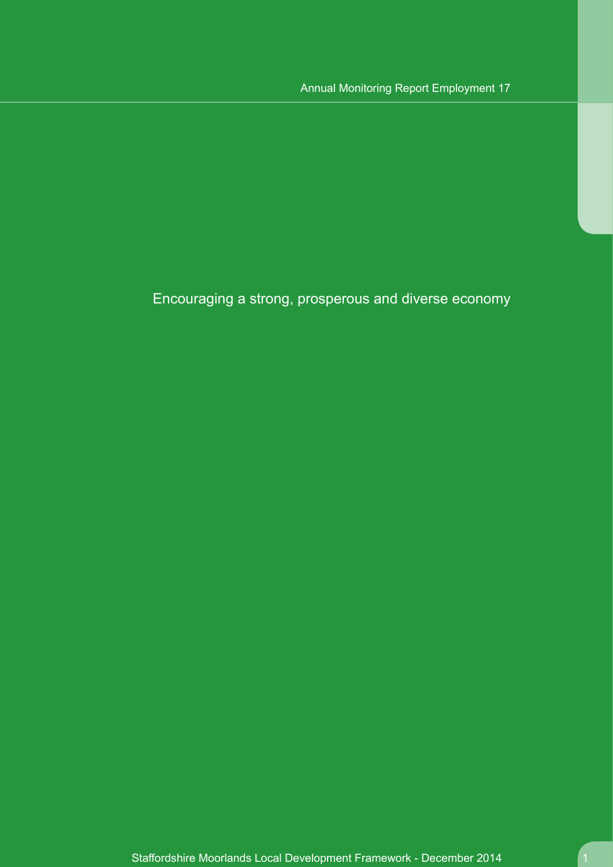Encouraging a strong, prosperous and diverse economy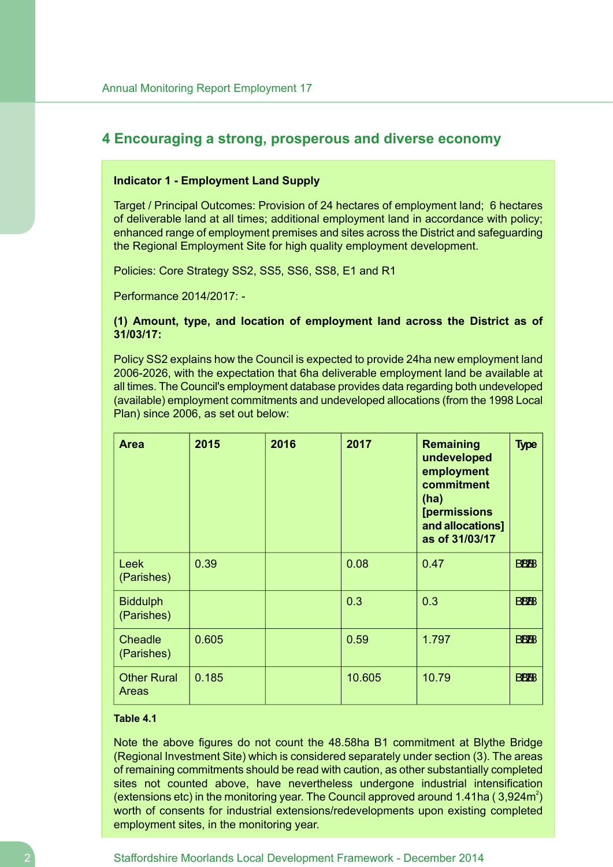# **4 Encouraging a strong, prosperous and diverse economy**

#### **Indicator 1 - Employment Land Supply**

Target / Principal Outcomes: Provision of 24 hectares of employment land; 6 hectares of deliverable land at all times; additional employment land in accordance with policy; enhanced range of employment premises and sites across the District and safeguarding the Regional Employment Site for high quality employment development.

Policies: Core Strategy SS2, SS5, SS6, SS8, E1 and R1

Performance 2014/2017: -

### **(1) Amount, type, and location of employment land across the District as of 31/03/17:**

Policy SS2 explains how the Council is expected to provide 24ha new employment land 2006-2026, with the expectation that 6ha deliverable employment land be available at all times. The Council's employment database provides data regarding both undeveloped (available) employment commitments and undeveloped allocations (from the 1998 Local Plan) since 2006, as set out below:

| <b>Area</b>                        | 2015  | 2016 | 2017   | <b>Remaining</b><br>undeveloped<br>employment<br>commitment<br>(ha)<br><b>[permissions</b><br>and allocations]<br>as of 31/03/17 | <b>Type</b>            |
|------------------------------------|-------|------|--------|----------------------------------------------------------------------------------------------------------------------------------|------------------------|
| Leek<br>(Parishes)                 | 0.39  |      | 0.08   | 0.47                                                                                                                             | <b>BB<sub>BB</sub></b> |
| <b>Biddulph</b><br>(Parishes)      |       |      | 0.3    | 0.3                                                                                                                              | <b>BB<sub>BB</sub></b> |
| Cheadle<br>(Parishes)              | 0.605 |      | 0.59   | 1.797                                                                                                                            | <b>BBBB</b>            |
| <b>Other Rural</b><br><b>Areas</b> | 0.185 |      | 10.605 | 10.79                                                                                                                            | <b>BBBB</b>            |

### **Table 4.1**

Note the above figures do not count the 48.58ha B1 commitment at Blythe Bridge (Regional Investment Site) which is considered separately under section (3). The areas of remaining commitments should be read with caution, as other substantially completed sites not counted above, have nevertheless undergone industrial intensification (extensions etc) in the monitoring year. The Council approved around 1.41ha (3,924m<sup>2</sup>) worth of consents for industrial extensions/redevelopments upon existing completed employment sites, in the monitoring year.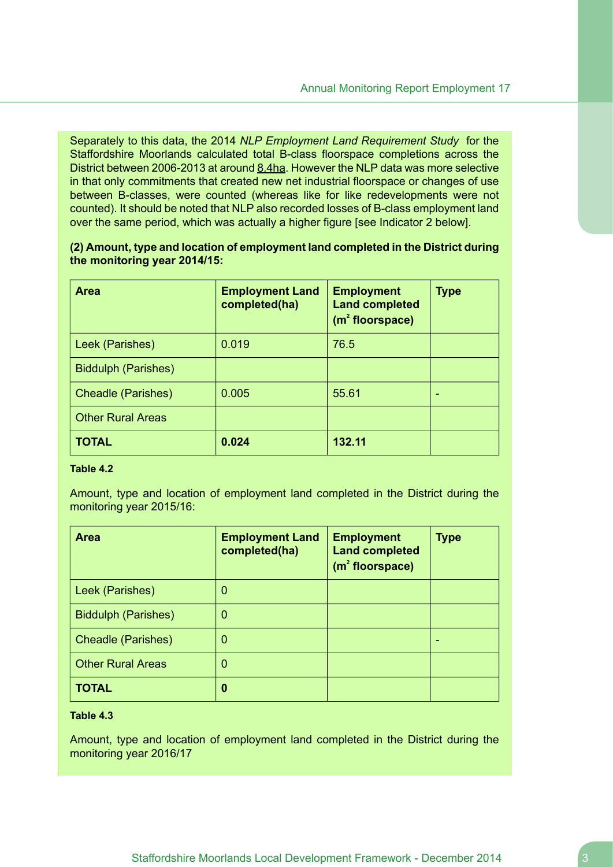Separately to this data, the 2014 *NLP Employment Land Requirement Study* for the Staffordshire Moorlands calculated total B-class floorspace completions across the District between 2006-2013 at around 8.4ha. However the NLP data was more selective in that only commitments that created new net industrial floorspace or changes of use between B-classes, were counted (whereas like for like redevelopments were not counted). It should be noted that NLP also recorded losses of B-class employment land over the same period, which was actually a higher figure [see Indicator 2 below].

**(2) Amount, type and location of employment land completed in the District during the monitoring year 2014/15:**

| <b>Area</b>                | <b>Employment Land</b><br>completed(ha) | <b>Employment</b><br><b>Land completed</b><br>$(m2$ floorspace) | <b>Type</b> |
|----------------------------|-----------------------------------------|-----------------------------------------------------------------|-------------|
| Leek (Parishes)            | 0.019                                   | 76.5                                                            |             |
| <b>Biddulph (Parishes)</b> |                                         |                                                                 |             |
| <b>Cheadle (Parishes)</b>  | 0.005                                   | 55.61                                                           |             |
| <b>Other Rural Areas</b>   |                                         |                                                                 |             |
| <b>TOTAL</b>               | 0.024                                   | 132.11                                                          |             |

### **Table 4.2**

Amount, type and location of employment land completed in the District during the monitoring year 2015/16:

| <b>Area</b>                | <b>Employment Land</b><br>completed(ha) | <b>Employment</b><br><b>Land completed</b><br>(m <sup>2</sup> floorspace) | <b>Type</b> |
|----------------------------|-----------------------------------------|---------------------------------------------------------------------------|-------------|
| Leek (Parishes)            | 0                                       |                                                                           |             |
| <b>Biddulph (Parishes)</b> | 0                                       |                                                                           |             |
| <b>Cheadle (Parishes)</b>  | 0                                       |                                                                           |             |
| <b>Other Rural Areas</b>   | 0                                       |                                                                           |             |
| <b>TOTAL</b>               | 0                                       |                                                                           |             |

# **Table 4.3**

Amount, type and location of employment land completed in the District during the monitoring year 2016/17